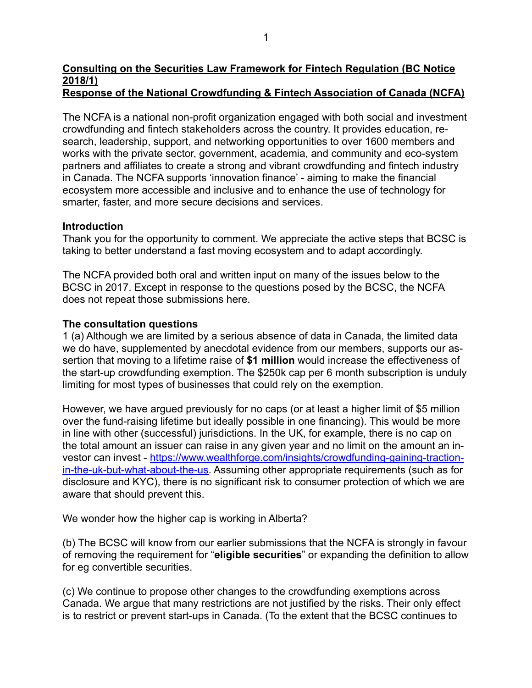# **Consulting on the Securities Law Framework for Fintech Regulation (BC Notice 2018/1)**

## **Response of the National Crowdfunding & Fintech Association of Canada (NCFA)**

The NCFA is a national non-profit organization engaged with both social and investment crowdfunding and fintech stakeholders across the country. It provides education, research, leadership, support, and networking opportunities to over 1600 members and works with the private sector, government, academia, and community and eco-system partners and affiliates to create a strong and vibrant crowdfunding and fintech industry in Canada. The NCFA supports 'innovation finance' - aiming to make the financial ecosystem more accessible and inclusive and to enhance the use of technology for smarter, faster, and more secure decisions and services.

#### **Introduction**

Thank you for the opportunity to comment. We appreciate the active steps that BCSC is taking to better understand a fast moving ecosystem and to adapt accordingly.

The NCFA provided both oral and written input on many of the issues below to the BCSC in 2017. Except in response to the questions posed by the BCSC, the NCFA does not repeat those submissions here.

## **The consultation questions**

1 (a) Although we are limited by a serious absence of data in Canada, the limited data we do have, supplemented by anecdotal evidence from our members, supports our assertion that moving to a lifetime raise of **\$1 million** would increase the effectiveness of the start-up crowdfunding exemption. The \$250k cap per 6 month subscription is unduly limiting for most types of businesses that could rely on the exemption.

However, we have argued previously for no caps (or at least a higher limit of \$5 million over the fund-raising lifetime but ideally possible in one financing). This would be more in line with other (successful) jurisdictions. In the UK, for example, there is no cap on the total amount an issuer can raise in any given year and no limit on the amount an in[vestor can invest - https://www.wealthforge.com/insights/crowdfunding-gaining-traction](https://www.wealthforge.com/insights/crowdfunding-gaining-traction-in-the-uk-but-what-about-the-us)[in-the-uk-but-what-about-the-us](https://www.wealthforge.com/insights/crowdfunding-gaining-traction-in-the-uk-but-what-about-the-us). Assuming other appropriate requirements (such as for disclosure and KYC), there is no significant risk to consumer protection of which we are aware that should prevent this.

We wonder how the higher cap is working in Alberta?

(b) The BCSC will know from our earlier submissions that the NCFA is strongly in favour of removing the requirement for "**eligible securities**" or expanding the definition to allow for eg convertible securities.

(c) We continue to propose other changes to the crowdfunding exemptions across Canada. We argue that many restrictions are not justified by the risks. Their only effect is to restrict or prevent start-ups in Canada. (To the extent that the BCSC continues to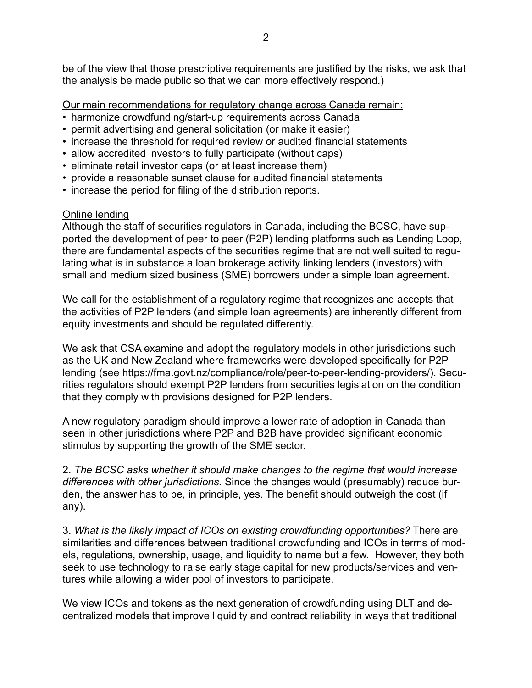be of the view that those prescriptive requirements are justified by the risks, we ask that the analysis be made public so that we can more effectively respond.)

Our main recommendations for regulatory change across Canada remain:

- harmonize crowdfunding/start-up requirements across Canada
- permit advertising and general solicitation (or make it easier)
- increase the threshold for required review or audited financial statements
- allow accredited investors to fully participate (without caps)
- eliminate retail investor caps (or at least increase them)
- provide a reasonable sunset clause for audited financial statements
- increase the period for filing of the distribution reports.

## Online lending

Although the staff of securities regulators in Canada, including the BCSC, have supported the development of peer to peer (P2P) lending platforms such as Lending Loop, there are fundamental aspects of the securities regime that are not well suited to regulating what is in substance a loan brokerage activity linking lenders (investors) with small and medium sized business (SME) borrowers under a simple loan agreement.

We call for the establishment of a regulatory regime that recognizes and accepts that the activities of P2P lenders (and simple loan agreements) are inherently different from equity investments and should be regulated differently.

We ask that CSA examine and adopt the regulatory models in other jurisdictions such as the UK and New Zealand where frameworks were developed specifically for P2P lending (see https://fma.govt.nz/compliance/role/peer-to-peer-lending-providers/). Securities regulators should exempt P2P lenders from securities legislation on the condition that they comply with provisions designed for P2P lenders.

A new regulatory paradigm should improve a lower rate of adoption in Canada than seen in other jurisdictions where P2P and B2B have provided significant economic stimulus by supporting the growth of the SME sector.

2. *The BCSC asks whether it should make changes to the regime that would increase differences with other jurisdictions.* Since the changes would (presumably) reduce burden, the answer has to be, in principle, yes. The benefit should outweigh the cost (if any).

3. *What is the likely impact of ICOs on existing crowdfunding opportunities?* There are similarities and differences between traditional crowdfunding and ICOs in terms of models, regulations, ownership, usage, and liquidity to name but a few. However, they both seek to use technology to raise early stage capital for new products/services and ventures while allowing a wider pool of investors to participate.

We view ICOs and tokens as the next generation of crowdfunding using DLT and decentralized models that improve liquidity and contract reliability in ways that traditional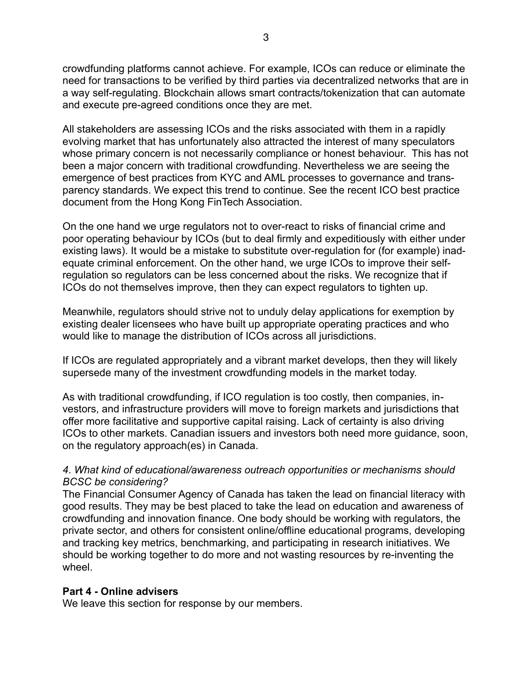crowdfunding platforms cannot achieve. For example, ICOs can reduce or eliminate the need for transactions to be verified by third parties via decentralized networks that are in a way self-regulating. Blockchain allows smart contracts/tokenization that can automate and execute pre-agreed conditions once they are met.

All stakeholders are assessing ICOs and the risks associated with them in a rapidly evolving market that has unfortunately also attracted the interest of many speculators whose primary concern is not necessarily compliance or honest behaviour. This has not been a major concern with traditional crowdfunding. Nevertheless we are seeing the emergence of best practices from KYC and AML processes to governance and transparency standards. We expect this trend to continue. See the recent ICO best practice document from the Hong Kong FinTech Association.

On the one hand we urge regulators not to over-react to risks of financial crime and poor operating behaviour by ICOs (but to deal firmly and expeditiously with either under existing laws). It would be a mistake to substitute over-regulation for (for example) inadequate criminal enforcement. On the other hand, we urge ICOs to improve their selfregulation so regulators can be less concerned about the risks. We recognize that if ICOs do not themselves improve, then they can expect regulators to tighten up.

Meanwhile, regulators should strive not to unduly delay applications for exemption by existing dealer licensees who have built up appropriate operating practices and who would like to manage the distribution of ICOs across all jurisdictions.

If ICOs are regulated appropriately and a vibrant market develops, then they will likely supersede many of the investment crowdfunding models in the market today.

As with traditional crowdfunding, if ICO regulation is too costly, then companies, investors, and infrastructure providers will move to foreign markets and jurisdictions that offer more facilitative and supportive capital raising. Lack of certainty is also driving ICOs to other markets. Canadian issuers and investors both need more guidance, soon, on the regulatory approach(es) in Canada.

## *4*. *What kind of educational/awareness outreach opportunities or mechanisms should BCSC be considering?*

The Financial Consumer Agency of Canada has taken the lead on financial literacy with good results. They may be best placed to take the lead on education and awareness of crowdfunding and innovation finance. One body should be working with regulators, the private sector, and others for consistent online/offline educational programs, developing and tracking key metrics, benchmarking, and participating in research initiatives. We should be working together to do more and not wasting resources by re-inventing the wheel.

#### **Part 4 - Online advisers**

We leave this section for response by our members.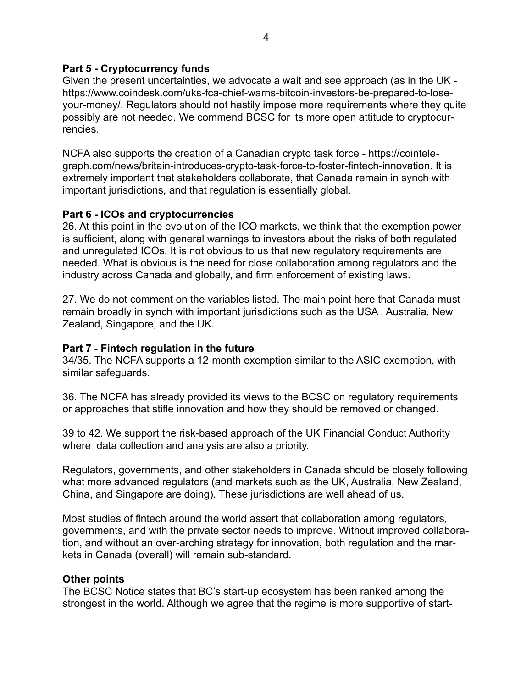#### **Part 5 - Cryptocurrency funds**

Given the present uncertainties, we advocate a wait and see approach (as in the UK [https://www.coindesk.com/uks-fca-chief-warns-bitcoin-investors-be-prepared-to-lose](https://www.coindesk.com/uks-fca-chief-warns-bitcoin-investors-be-prepared-to-lose-your-money/)[your-money/.](https://www.coindesk.com/uks-fca-chief-warns-bitcoin-investors-be-prepared-to-lose-your-money/) Regulators should not hastily impose more requirements where they quite possibly are not needed. We commend BCSC for its more open attitude to cryptocurrencies.

[NCFA also supports the creation of a Canadian crypto task force - https://cointele](https://cointelegraph.com/news/britain-introduces-crypto-task-force-to-foster-fintech-innovation)[graph.com/news/britain-introduces-crypto-task-force-to-foster-fintech-innovation.](https://cointelegraph.com/news/britain-introduces-crypto-task-force-to-foster-fintech-innovation) It is extremely important that stakeholders collaborate, that Canada remain in synch with important jurisdictions, and that regulation is essentially global.

## **Part 6 - ICOs and cryptocurrencies**

26. At this point in the evolution of the ICO markets, we think that the exemption power is sufficient, along with general warnings to investors about the risks of both regulated and unregulated ICOs. It is not obvious to us that new regulatory requirements are needed. What is obvious is the need for close collaboration among regulators and the industry across Canada and globally, and firm enforcement of existing laws.

27. We do not comment on the variables listed. The main point here that Canada must remain broadly in synch with important jurisdictions such as the USA , Australia, New Zealand, Singapore, and the UK.

## **Part 7** - **Fintech regulation in the future**

34/35. The NCFA supports a 12-month exemption similar to the ASIC exemption, with similar safeguards.

36. The NCFA has already provided its views to the BCSC on regulatory requirements or approaches that stifle innovation and how they should be removed or changed.

39 to 42. We support the risk-based approach of the UK Financial Conduct Authority where data collection and analysis are also a priority.

Regulators, governments, and other stakeholders in Canada should be closely following what more advanced regulators (and markets such as the UK, Australia, New Zealand, China, and Singapore are doing). These jurisdictions are well ahead of us.

Most studies of fintech around the world assert that collaboration among regulators, governments, and with the private sector needs to improve. Without improved collaboration, and without an over-arching strategy for innovation, both regulation and the markets in Canada (overall) will remain sub-standard.

#### **Other points**

The BCSC Notice states that BC's start-up ecosystem has been ranked among the strongest in the world. Although we agree that the regime is more supportive of start-